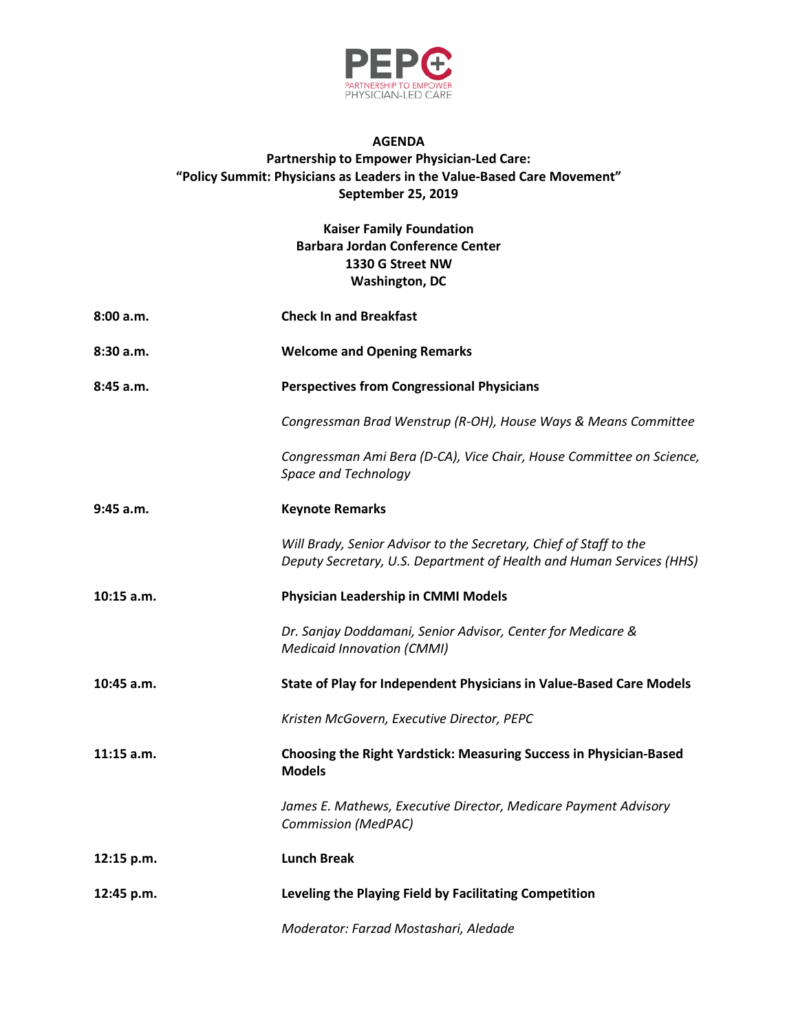

## **AGENDA Partnership to Empower Physician-Led Care: "Policy Summit: Physicians as Leaders in the Value-Based Care Movement" September 25, 2019**

## **Kaiser Family Foundation Barbara Jordan Conference Center 1330 G Street NW Washington, DC**

| 8:00 a.m.    | <b>Check In and Breakfast</b>                                                                                                              |
|--------------|--------------------------------------------------------------------------------------------------------------------------------------------|
| 8:30a.m.     | <b>Welcome and Opening Remarks</b>                                                                                                         |
| 8:45 a.m.    | <b>Perspectives from Congressional Physicians</b>                                                                                          |
|              | Congressman Brad Wenstrup (R-OH), House Ways & Means Committee                                                                             |
|              | Congressman Ami Bera (D-CA), Vice Chair, House Committee on Science,<br>Space and Technology                                               |
| $9:45$ a.m.  | <b>Keynote Remarks</b>                                                                                                                     |
|              | Will Brady, Senior Advisor to the Secretary, Chief of Staff to the<br>Deputy Secretary, U.S. Department of Health and Human Services (HHS) |
| $10:15$ a.m. | Physician Leadership in CMMI Models                                                                                                        |
|              | Dr. Sanjay Doddamani, Senior Advisor, Center for Medicare &<br><b>Medicaid Innovation (CMMI)</b>                                           |
| $10:45$ a.m. | State of Play for Independent Physicians in Value-Based Care Models                                                                        |
|              | Kristen McGovern, Executive Director, PEPC                                                                                                 |
| $11:15$ a.m. | Choosing the Right Yardstick: Measuring Success in Physician-Based<br><b>Models</b>                                                        |
|              | James E. Mathews, Executive Director, Medicare Payment Advisory<br><b>Commission (MedPAC)</b>                                              |
| 12:15 p.m.   | <b>Lunch Break</b>                                                                                                                         |
| 12:45 p.m.   | Leveling the Playing Field by Facilitating Competition                                                                                     |
|              | Moderator: Farzad Mostashari, Aledade                                                                                                      |